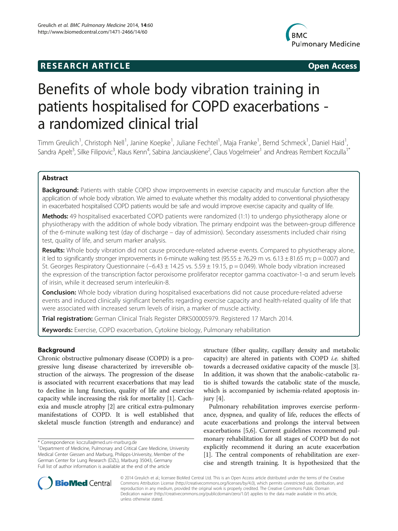# **RESEARCH ARTICLE Example 2014 12:30 The SEAR CHA RTICLE**



# Benefits of whole body vibration training in patients hospitalised for COPD exacerbations a randomized clinical trial

Timm Greulich<sup>1</sup>, Christoph Nell<sup>1</sup>, Janine Koepke<sup>1</sup>, Juliane Fechtel<sup>1</sup>, Maja Franke<sup>1</sup>, Bernd Schmeck<sup>1</sup>, Daniel Haid<sup>1</sup> , Sandra Apelt<sup>3</sup>, Silke Filipovic<sup>3</sup>, Klaus Kenn<sup>4</sup>, Sabina Janciauskiene<sup>2</sup>, Claus Vogelmeier<sup>1</sup> and Andreas Rembert Koczulla<sup>1\*</sup>

# Abstract

Background: Patients with stable COPD show improvements in exercise capacity and muscular function after the application of whole body vibration. We aimed to evaluate whether this modality added to conventional physiotherapy in exacerbated hospitalised COPD patients would be safe and would improve exercise capacity and quality of life.

Methods: 49 hospitalised exacerbated COPD patients were randomized (1:1) to undergo physiotherapy alone or physiotherapy with the addition of whole body vibration. The primary endpoint was the between-group difference of the 6-minute walking test (day of discharge – day of admission). Secondary assessments included chair rising test, quality of life, and serum marker analysis.

Results: Whole body vibration did not cause procedure-related adverse events. Compared to physiotherapy alone, it led to significantly stronger improvements in 6-minute walking test (95.55  $\pm$  76.29 m vs. 6.13  $\pm$  81.65 m; p = 0.007) and St. Georges Respiratory Questionnaire (−6.43 ± 14.25 vs. 5.59 ± 19.15, p = 0.049). Whole body vibration increased the expression of the transcription factor peroxisome proliferator receptor gamma coactivator-1-α and serum levels of irisin, while it decreased serum interleukin-8.

**Conclusion:** Whole body vibration during hospitalised exacerbations did not cause procedure-related adverse events and induced clinically significant benefits regarding exercise capacity and health-related quality of life that were associated with increased serum levels of irisin, a marker of muscle activity.

Trial registration: German Clinical Trials Register [DRKS00005979.](https://drks-neu.uniklinikfreiburg.de/drks_web/navigate.do?navigationId=trial.HTML&TRIAL_ID=DRKS00005979) Registered 17 March 2014.

Keywords: Exercise, COPD exacerbation, Cytokine biology, Pulmonary rehabilitation

# Background

Chronic obstructive pulmonary disease (COPD) is a progressive lung disease characterized by irreversible obstruction of the airways. The progression of the disease is associated with recurrent exacerbations that may lead to decline in lung function, quality of life and exercise capacity while increasing the risk for mortality [\[1\]](#page-7-0). Cachexia and muscle atrophy [\[2\]](#page-7-0) are critical extra-pulmonary manifestations of COPD. It is well established that skeletal muscle function (strength and endurance) and

\* Correspondence: [koczulla@med.uni-marburg.de](mailto:koczulla@med.uni-marburg.de) <sup>1</sup>

structure (fiber quality, capillary density and metabolic capacity) are altered in patients with COPD *i.e.* shifted towards a decreased oxidative capacity of the muscle [\[3](#page-7-0)]. In addition, it was shown that the anabolic-catabolic ratio is shifted towards the catabolic state of the muscle, which is accompanied by ischemia-related apoptosis injury [[4\]](#page-7-0).

Pulmonary rehabilitation improves exercise performance, dyspnea, and quality of life, reduces the effects of acute exacerbations and prolongs the interval between exacerbations [\[5,6](#page-7-0)]. Current guidelines recommend pulmonary rehabilitation for all stages of COPD but do not explicitly recommend it during an acute exacerbation [[1\]](#page-7-0). The central components of rehabilitation are exercise and strength training. It is hypothesized that the



© 2014 Greulich et al.; licensee BioMed Central Ltd. This is an Open Access article distributed under the terms of the Creative Commons Attribution License [\(http://creativecommons.org/licenses/by/4.0\)](http://creativecommons.org/licenses/by/4.0), which permits unrestricted use, distribution, and reproduction in any medium, provided the original work is properly credited. The Creative Commons Public Domain Dedication waiver [\(http://creativecommons.org/publicdomain/zero/1.0/](http://creativecommons.org/publicdomain/zero/1.0/)) applies to the data made available in this article, unless otherwise stated.

Department of Medicine, Pulmonary and Critical Care Medicine, University Medical Center Giessen and Marburg, Philipps-University, Member of the German Center for Lung Research (DZL), Marburg 35043, Germany Full list of author information is available at the end of the article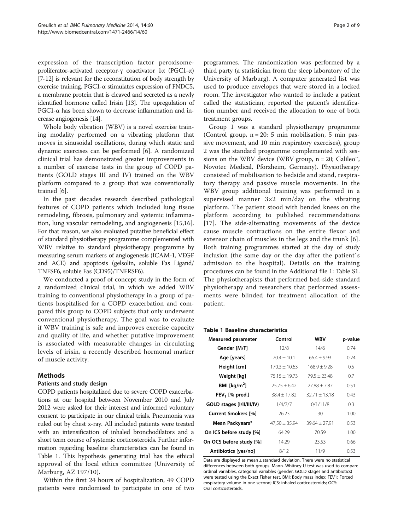<span id="page-1-0"></span>expression of the transcription factor peroxisomeproliferator-activated receptor-γ coactivator 1α (PGC1-α) [[7](#page-7-0)-[12](#page-7-0)] is relevant for the reconstitution of body strength by exercise training. PGC1-α stimulates expression of FNDC5, a membrane protein that is cleaved and secreted as a newly identified hormone called Irisin [\[13](#page-7-0)]. The upregulation of PGC1-α has been shown to decrease inflammation and increase angiogenesis [\[14](#page-7-0)].

Whole body vibration (WBV) is a novel exercise training modality performed on a vibrating platform that moves in sinusoidal oscillations, during which static and dynamic exercises can be performed [[6\]](#page-7-0). A randomized clinical trial has demonstrated greater improvements in a number of exercise tests in the group of COPD patients (GOLD stages III and IV) trained on the WBV platform compared to a group that was conventionally trained [[6\]](#page-7-0).

In the past decades research described pathological features of COPD patients which included lung tissue remodeling, fibrosis, pulmonary and systemic inflammation, lung vascular remodeling, and angiogenesis [\[15,16](#page-7-0)]. For that reason, we also evaluated putative beneficial effect of standard physiotherapy programme complemented with WBV relative to standard physiotherapy programme by measuring serum markers of angiogenesis (ICAM-1, VEGF and ACE) and apoptosis (gelsolin, soluble Fas Ligand/ TNFSF6, soluble Fas (CD95)/TNFRSF6).

We conducted a proof of concept study in the form of a randomized clinical trial, in which we added WBV training to conventional physiotherapy in a group of patients hospitalised for a COPD exacerbation and compared this group to COPD subjects that only underwent conventional physiotherapy. The goal was to evaluate if WBV training is safe and improves exercise capacity and quality of life, and whether putative improvement is associated with measurable changes in circulating levels of irisin, a recently described hormonal marker of muscle activity.

# Methods

# Patients and study design

COPD patients hospitalized due to severe COPD exacerbations at our hospital between November 2010 and July 2012 were asked for their interest and informed voluntary consent to participate in our clinical trials. Pneumonia was ruled out by chest x-ray. All included patients were treated with an intensification of inhaled bronchodilators and a short term course of systemic corticosteroids. Further information regarding baseline characteristics can be found in Table 1. This hypothesis generating trial has the ethical approval of the local ethics committee (University of Marburg, AZ 197/10).

Within the first 24 hours of hospitalization, 49 COPD patients were randomised to participate in one of two programmes. The randomization was performed by a third party (a statistician from the sleep laboratory of the University of Marburg). A computer generated list was used to produce envelopes that were stored in a locked room. The investigator who wanted to include a patient called the statistician, reported the patient's identification number and received the allocation to one of both treatment groups.

Group 1 was a standard physiotherapy programme (Control group,  $n = 20$ : 5 min mobilisation, 5 min passive movement, and 10 min respiratory exercises), group 2 was the standard programme complemented with sessions on the WBV device (WBV group,  $n = 20$ ; Galileo<sup>n</sup>, Novotec Medical, Pforzheim, Germany). Physiotherapy consisted of mobilisation to bedside and stand, respiratory therapy and passive muscle movements. In the WBV group additional training was performed in a supervised manner 3×2 min/day on the vibrating platform. The patient stood with bended knees on the platform according to published recommendations [[17](#page-7-0)]. The side-alternating movements of the device cause muscle contractions on the entire flexor and extensor chain of muscles in the legs and the trunk [[6](#page-7-0)]. Both training programmes started at the day of study inclusion (the same day or the day after the patient`s admission to the hospital). Details on the training procedures can be found in the Additional file [1:](#page-6-0) Table S1. The physiotherapists that performed bed-side standard physiotherapy and researchers that performed assessments were blinded for treatment allocation of the patient.

### Table 1 Baseline characteristics

| <b>Measured parameter</b>  | Control           | <b>WBV</b>        | p-value       |
|----------------------------|-------------------|-------------------|---------------|
| Gender [M/F]               | 12/8              | 14/6              | 0.74          |
| Age [years]                | $70.4 + 10.1$     | $66.4 + 9.93$     | 0.24          |
| Height [cm]                | $170.3 + 10.63$   | $168.9 + 9.28$    | $0.5^{\circ}$ |
| Weight [kg]                | $75.15 + 19.73$   | $79.5 + 23.48$    | 0.7           |
| BMI [ $\text{kg/m}^2$ ]    | $25.75 + 6.42$    | $77.88 + 7.87$    | 0.51          |
| $FEV_1$ [% pred.]          | $38.4 + 17.82$    | $32.71 \pm 13.18$ | 0.43          |
| GOLD stages [I/II/III/IV]  | 1/4/7/7           | 0/1/11/8          | 0.3           |
| <b>Current Smokers [%]</b> | 26.23             | 30                | 1.00          |
| Mean Packyears*            | $47,50 \pm 35,94$ | $39,64 \pm 27,91$ | 0.53          |
| On ICS before study [%]    | 64.29             | 70.59             | 1.00          |
| On OCS before study [%]    | 14.29             | 23.53             | 0.66          |
| Antibiotics [yes/no]       | 8/12              | 11/9              | 0.53          |

Data are displayed as mean ± standard deviation. There were no statistical differences between both groups. Mann–Whitney-U test was used to compare ordinal variables, categorial variables (gender, GOLD stages and antibiotics) were tested using the Exact Fisher test. BMI: Body mass index; FEV1: Forced exspiratory volume in one second; ICS: inhaled corticosteroids; OCS: Oral corticosteroids.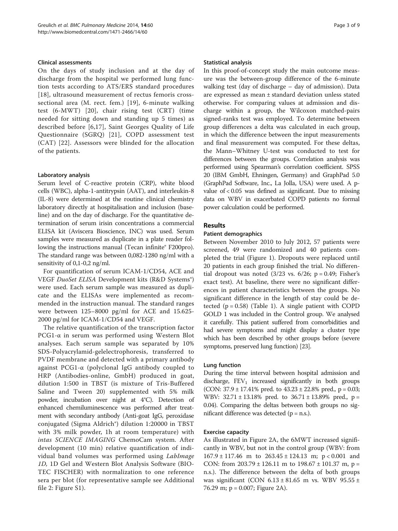# Clinical assessments

On the days of study inclusion and at the day of discharge from the hospital we performed lung function tests according to ATS/ERS standard procedures [[18](#page-7-0)], ultrasound measurement of rectus femoris crosssectional area (M. rect. fem.) [[19](#page-7-0)], 6-minute walking test (6-MWT) [[20](#page-7-0)], chair rising test (CRT) (time needed for sitting down and standing up 5 times) as described before [\[6](#page-7-0),[17\]](#page-7-0), Saint Georges Quality of Life Questionnaire (SGRQ) [[21](#page-7-0)], COPD assessment test (CAT) [[22](#page-7-0)]. Assessors were blinded for the allocation of the patients.

# Laboratory analysis

Serum level of C-reactive protein (CRP), white blood cells (WBC), alpha-1-antitrypsin (AAT), and interleukin-8 (IL-8) were determined at the routine clinical chemistry laboratory directly at hospitalisation and inclusion (baseline) and on the day of discharge. For the quantitative determination of serum irisin concentrations a commercial ELISA kit (Aviscera Bioscience, INC) was used. Serum samples were measured as duplicate in a plate reader following the instructions manual (Tecan infinite® F200pro). The standard range was between 0,082-1280 ng/ml with a sensitivity of 0,1-0,2 ng/ml.

For quantification of serum ICAM-1/CD54, ACE and VEGF DuoSet ELISA Development kits (R&D Systems®) were used. Each serum sample was measured as duplicate and the ELISAs were implemented as recommended in the instruction manual. The standard ranges were between 125–8000 pg/ml for ACE and 15.625- 2000 pg/ml for ICAM-1/CD54 and VEGF.

The relative quantification of the transcription factor PCG1-α in serum was performed using Western Blot analyses. Each serum sample was separated by 10% SDS-Polyacrylamid-gelelectrophoresis, transferred to PVDF membrane and detected with a primary antibody against PCG1-α (polyclonal IgG antibody coupled to HRP (Antibodies-online, GmbH) produced in goat, dilution 1:500 in TBST (is mixture of Tris-Buffered Saline and Tween 20) supplemented with 5% milk powder, incubation over night at 4°C). Detection of enhanced chemiluminescence was performed after treatment with secondary antibody (Anti-goat IgG, peroxidase conjugated (Sigma Aldrich®) dilution 1:20000 in TBST with 3% milk powder, 1h at room temperature) with intas SCIENCE IMAGING ChemoCam system. After development (10 min) relative quantification of individual band volumes was performed using LabImage 1D, 1D Gel and Western Blot Analysis Software (BIO-TEC FISCHER) with normalization to one reference sera per blot (for representative sample see Additional file [2:](#page-6-0) Figure S1).

#### Statistical analysis

In this proof-of-concept study the main outcome measure was the between-group difference of the 6-minute walking test (day of discharge – day of admission). Data are expressed as mean ± standard deviation unless stated otherwise. For comparing values at admission and discharge within a group, the Wilcoxon matched-pairs signed-ranks test was employed. To determine between group differences a delta was calculated in each group, in which the difference between the input measurements and final measurement was computed. For these deltas, the Mann–Whitney U-test was conducted to test for differences between the groups. Correlation analysis was performed using Spearman's correlation coefficient. SPSS 20 (IBM GmbH, Ehningen, Germany) and GraphPad 5.0 (GraphPad Software, Inc., La Jolla, USA) were used. A pvalue of < 0.05 was defined as significant. Due to missing data on WBV in exacerbated COPD patients no formal power calculation could be performed.

# Results

### Patient demographics

Between November 2010 to July 2012, 57 patients were screened, 49 were randomized and 40 patients completed the trial (Figure [1](#page-3-0)). Dropouts were replaced until 20 patients in each group finished the trial. No differential dropout was noted  $(3/23 \text{ vs. } 6/26; \text{ p} = 0.49; \text{ Fisher's})$ exact test). At baseline, there were no significant differences in patient characteristics between the groups. No significant difference in the length of stay could be detected  $(p = 0.58)$  (Table [1\)](#page-1-0). A single patient with COPD GOLD 1 was included in the Control group. We analysed it carefully. This patient suffered from comorbidities and had severe symptoms and might display a cluster type which has been described by other groups before (severe symptoms, preserved lung function) [[23](#page-7-0)].

# Lung function

During the time interval between hospital admission and discharge,  $FEV_1$  increased significantly in both groups (CON:  $37.9 \pm 17.41\%$  pred. to  $43.23 \pm 22.8\%$  pred., p = 0.03; WBV:  $32.71 \pm 13.18\%$  pred. to  $36.71 \pm 13.89\%$  pred., p = 0.04). Comparing the deltas between both groups no significant difference was detected  $(p = n.s.).$ 

# Exercise capacity

As illustrated in Figure [2](#page-3-0)A, the 6MWT increased significantly in WBV, but not in the control group (WBV: from  $167.9 \pm 117.46$  m to  $263.45 \pm 124.13$  m;  $p < 0.001$  and CON: from  $203.79 \pm 126.11$  m to  $198.67 \pm 101.37$  m, p = n.s.). The difference between the delta of both groups was significant (CON  $6.13 \pm 81.65$  m vs. WBV  $95.55 \pm 1.65$ 76.29 m; p = 0.007; Figure [2](#page-3-0)A).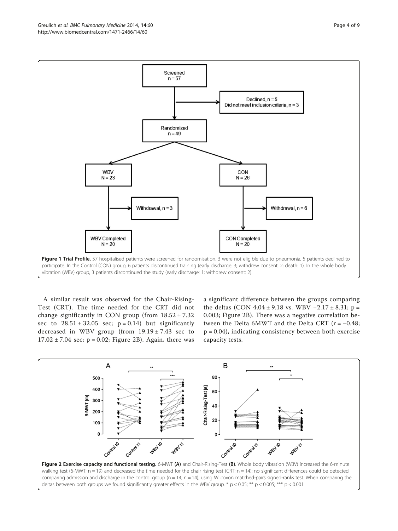<span id="page-3-0"></span>

A similar result was observed for the Chair-Rising-Test (CRT). The time needed for the CRT did not change significantly in CON group (from  $18.52 \pm 7.32$ ) sec to  $28.51 \pm 32.05$  sec;  $p = 0.14$ ) but significantly decreased in WBV group (from 19.19 ± 7.43 sec to  $17.02 \pm 7.04$  sec;  $p = 0.02$ ; Figure 2B). Again, there was

a significant difference between the groups comparing the deltas (CON  $4.04 \pm 9.18$  vs. WBV  $-2.17 \pm 8.31$ ; p = 0.003; Figure 2B). There was a negative correlation between the Delta 6MWT and the Delta CRT ( $r = -0.48$ ; p = 0.04), indicating consistency between both exercise capacity tests.

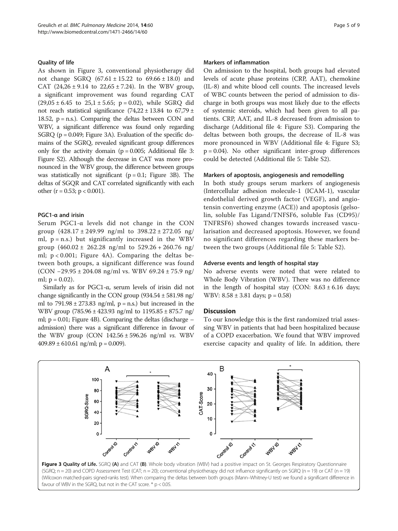# Quality of life

As shown in Figure 3, conventional physiotherapy did not change SGRQ  $(67.61 \pm 15.22)$  to  $69.66 \pm 18.0$  and CAT  $(24,26 \pm 9.14 \text{ to } 22,65 \pm 7.24)$ . In the WBV group, a significant improvement was found regarding CAT  $(29,05 \pm 6.45 \text{ to } 25,1 \pm 5.65; \text{ p} = 0.02)$ , while SGRQ did not reach statistical significance  $(74,22 \pm 13.84)$  to  $67,79 \pm 12.8$ 18.52,  $p = n.s.$ ). Comparing the deltas between CON and WBV, a significant difference was found only regarding SGRQ (p = 0.049; Figure 3A). Evaluation of the specific domains of the SGRQ, revealed significant group differences only for the activity domain  $(p = 0.005;$  Additional file [3](#page-6-0): Figure S2). Although the decrease in CAT was more pronounced in the WBV group, the difference between groups was statistically not significant  $(p = 0.1;$  Figure 3B). The deltas of SGQR and CAT correlated significantly with each other ( $r = 0.53$ ;  $p < 0.001$ ).

# PGC1-α and irisin

Serum PGC1-α levels did not change in the CON group  $(428.17 \pm 249.99 \text{ ng/ml to } 398.22 \pm 272.05 \text{ ng/}$ ml,  $p = n.s.$ ) but significantly increased in the WBV group  $(460.02 \pm 262.28 \text{ ng/ml to } 529.26 + 260.76 \text{ ng/}$ ml; p < 0.001; Figure [4A](#page-5-0)). Comparing the deltas between both groups, a significant difference was found (CON −29.95 ± 204.08 ng/ml vs. WBV 69.24 ± 75.9 ng/ ml;  $p = 0.02$ ).

Similarly as for PGC1-α, serum levels of irisin did not change significantly in the CON group  $(934.54 \pm 581.98 \text{ ng})$ ml to  $791.98 \pm 273.83$  ng/ml, p = n.s.) but increased in the WBV group (785.96 ± 423.93 ng/ml to 1195.85 ± 875.7 ng/ ml; p = 0.01; Figure [4B](#page-5-0)). Comparing the deltas (discharge – admission) there was a significant difference in favour of the WBV group (CON  $142.56 \pm 596.26$  ng/ml *vs*. WBV  $409.89 \pm 610.61$  ng/ml; p = 0.009).

#### Markers of inflammation

On admission to the hospital, both groups had elevated levels of acute phase proteins (CRP, AAT), chemokine (IL-8) and white blood cell counts. The increased levels of WBC counts between the period of admission to discharge in both groups was most likely due to the effects of systemic steroids, which had been given to all patients. CRP, AAT, and IL-8 decreased from admission to discharge (Additional file [4:](#page-7-0) Figure S3). Comparing the deltas between both groups, the decrease of IL-8 was more pronounced in WBV (Additional file [4](#page-7-0): Figure S3;  $p = 0.04$ ). No other significant inter-group differences could be detected (Additional file [5:](#page-7-0) Table S2).

#### Markers of apoptosis, angiogenesis and remodelling

In both study groups serum markers of angiogenesis (Intercellular adhesion molecule-1 (ICAM-1), vascular endothelial derived growth factor (VEGF), and angiotensin converting enzyme (ACE)) and apoptosis (gelsolin, soluble Fas Ligand/TNFSF6, soluble Fas (CD95)/ TNFRSF6) showed changes towards increased vascularisation and decreased apoptosis. However, we found no significant differences regarding these markers between the two groups (Additional file [5:](#page-7-0) Table S2).

#### Adverse events and length of hospital stay

No adverse events were noted that were related to Whole Body Vibration (WBV). There was no difference in the length of hospital stay (CON:  $8.63 \pm 6.16$  days; WBV: 8.58 ± 3.81 days; p = 0.58)

### **Discussion**

To our knowledge this is the first randomized trial assessing WBV in patients that had been hospitalized because of a COPD exacerbation. We found that WBV improved exercise capacity and quality of life. In addition, there



(Wilcoxon matched-pairs signed-ranks test). When comparing the deltas between both groups (Mann–Whitney-U test) we found a significant difference in favour of WBV in the SGRQ, but not in the CAT score. \* p < 0.05.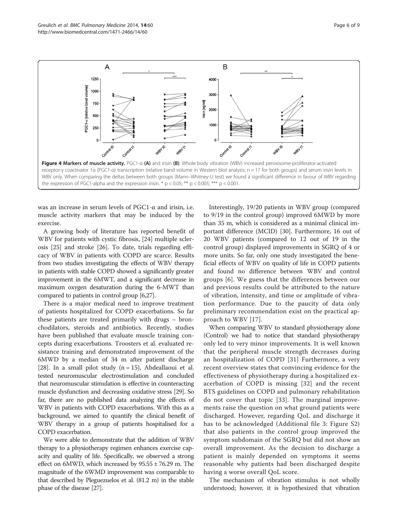<span id="page-5-0"></span>

was an increase in serum levels of PGC1-α and irisin, i.e. muscle activity markers that may be induced by the exercise.

A growing body of literature has reported benefit of WBV for patients with cystic fibrosis, [[24](#page-7-0)] multiple sclerosis [\[25](#page-7-0)] and stroke [\[26\]](#page-7-0). To date, trials regarding efficacy of WBV in patients with COPD are scarce. Results from two studies investigating the effects of WBV therapy in patients with stable COPD showed a significantly greater improvement in the 6MWT, and a significant decrease in maximum oxygen desaturation during the 6-MWT than compared to patients in control group [\[6,27](#page-7-0)].

There is a major medical need to improve treatment of patients hospitalized for COPD exacerbations. So far these patients are treated primarily with drugs – bronchodilators, steroids and antibiotics. Recently, studies have been published that evaluate muscle training concepts during exacerbations. Troosters et al. evaluated resistance training and demonstrated improvement of the 6MWD by a median of 34 m after patient discharge [[28\]](#page-8-0). In a small pilot study  $(n = 15)$ , Abdeallaoui et al. tested neuromuscular electrostimulation and concluded that neuromuscular stimulation is effective in counteracting muscle dysfunction and decreasing oxidative stress [\[29\]](#page-8-0). So far, there are no published data analyzing the effects of WBV in patients with COPD exacerbations. With this as a background, we aimed to quantify the clinical benefit of WBV therapy in a group of patients hospitalised for a COPD exacerbation.

We were able to demonstrate that the addition of WBV therapy to a physiotherapy regimen enhances exercise capacity and quality of life. Specifically, we observed a strong effect on 6MWD, which increased by  $95.55 \pm 76.29$  m. The magnitude of the 6WMD improvement was comparable to that described by Pleguezuelos et al. (81.2 m) in the stable phase of the disease [[27](#page-7-0)].

Interestingly, 19/20 patients in WBV group (compared to 9/19 in the control group) improved 6MWD by more than 35 m, which is considered as a minimal clinical important difference (MCID) [\[30](#page-8-0)]. Furthermore, 16 out of 20 WBV patients (compared to 12 out of 19 in the control group) displayed improvements in SGRQ of 4 or more units. So far, only one study investigated the beneficial effects of WBV on quality of life in COPD patients and found no difference between WBV and control groups [\[6\]](#page-7-0). We guess that the differences between our and previous results could be attributed to the nature of vibration, intensity, and time or amplitude of vibration performance. Due to the paucity of data only preliminary recommendation exist on the practical approach to WBV [[17](#page-7-0)].

When comparing WBV to standard physiotherapy alone (Control) we had to notice that standard physiotherapy only led to very minor improvements. It is well known that the peripheral muscle strength decreases during an hospitalization of COPD [[31\]](#page-8-0) Furthermore, a very recent overview states that convincing evidence for the effectiveness of physiotherapy during a hospitalized exacerbation of COPD is missing [[32](#page-8-0)] and the recent BTS guidelines on COPD and pulmonary rehabilitation do not cover that topic [[33\]](#page-8-0). The marginal improvements raise the question on what ground patients were discharged. However, regarding QoL and discharge it has to be acknowledged (Additional file [3:](#page-6-0) Figure S2) that also patients in the control group improved the symptom subdomain of the SGRQ but did not show an overall improvement. As the decision to discharge a patient is mainly depended on symptoms it seems reasonable why patients had been discharged despite having a worse overall QoL score.

The mechanism of vibration stimulus is not wholly understood; however, it is hypothesized that vibration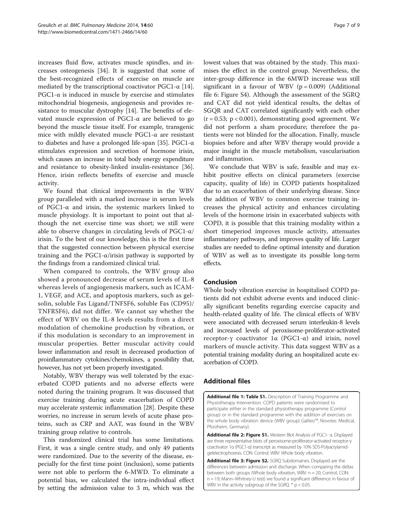<span id="page-6-0"></span>increases fluid flow, activates muscle spindles, and increases osteogenesis [[34\]](#page-8-0). It is suggested that some of the best-recognized effects of exercise on muscle are mediated by the transcriptional coactivator PGC1- $\alpha$  [\[14](#page-7-0)]. PGC1- $\alpha$  is induced in muscle by exercise and stimulates mitochondrial biogenesis, angiogenesis and provides resistance to muscular dystrophy [\[14](#page-7-0)]. The benefits of elevated muscle expression of PGC1-α are believed to go beyond the muscle tissue itself. For example, transgenic mice with mildly elevated muscle PGC1-α are resistant to diabetes and have a prolonged life-span [[35](#page-8-0)]. PGC1-α stimulates expression and secretion of hormone irisin, which causes an increase in total body energy expenditure and resistance to obesity-linked insulin-resistance [\[36](#page-8-0)]. Hence, irisin reflects benefits of exercise and muscle activity.

We found that clinical improvements in the WBV group paralleled with a marked increase in serum levels of PGC1-α and irisin, the systemic markers linked to muscle physiology. It is important to point out that although the net exercise time was short; we still were able to observe changes in circulating levels of  $PGC1-\alpha$ irisin. To the best of our knowledge, this is the first time that the suggested connection between physical exercise training and the PGC1- $\alpha$ /irisin pathway is supported by the findings from a randomized clinical trial.

When compared to controls, the WBV group also showed a pronounced decrease of serum levels of IL-8 whereas levels of angiogenesis markers, such as ICAM-1, VEGF, and ACE, and apoptosis markers, such as gelsolin, soluble Fas Ligand/TNFSF6, soluble Fas (CD95)/ TNFRSF6), did not differ. We cannot say whether the effect of WBV on the IL-8 levels results from a direct modulation of chemokine production by vibration, or if this modulation is secondary to an improvement in muscular properties. Better muscular activity could lower inflammation and result in decreased production of proinflammatory cytokines/chemokines, a possibility that, however, has not yet been properly investigated.

Notably, WBV therapy was well tolerated by the exacerbated COPD patients and no adverse effects were noted during the training program. It was discussed that exercise training during acute exacerbation of COPD may accelerate systemic inflammation [[28\]](#page-8-0). Despite these worries, no increase in serum levels of acute phase proteins, such as CRP and AAT, was found in the WBV training group relative to controls.

This randomized clinical trial has some limitations. First, it was a single centre study, and only 49 patients were randomized. Due to the severity of the disease, especially for the first time point (inclusion), some patients were not able to perform the 6-MWD. To eliminate a potential bias, we calculated the intra-individual effect by setting the admission value to 3 m, which was the lowest values that was obtained by the study. This maximises the effect in the control group. Nevertheless, the inter-group difference in the 6MWD increase was still significant in a favour of WBV  $(p = 0.009)$  (Additional file [6](#page-7-0): Figure S4). Although the assessment of the SGRQ and CAT did not yield identical results, the deltas of SGQR and CAT correlated significantly with each other  $(r = 0.53; p < 0.001)$ , demonstrating good agreement. We did not perform a sham procedure; therefore the patients were not blinded for the allocation. Finally, muscle biopsies before and after WBV therapy would provide a major insight in the muscle metabolism, vascularisation and inflammation.

We conclude that WBV is safe, feasible and may exhibit positive effects on clinical parameters (exercise capacity, quality of life) in COPD patients hospitalized due to an exacerbation of their underlying disease. Since the addition of WBV to common exercise training increases the physical activity and enhances circulating levels of the hormone irisin in exacerbated subjects with COPD, it is possible that this training modality within a short timeperiod improves muscle activity, attenuates inflammatory pathways, and improves quality of life. Larger studies are needed to define optimal intensity and duration of WBV as well as to investigate its possible long-term effects.

# Conclusion

Whole body vibration exercise in hospitalised COPD patients did not exhibit adverse events and induced clinically significant benefits regarding exercise capacity and health-related quality of life. The clinical effects of WBV were associated with decreased serum interleukin-8 levels and increased levels of peroxisome-proliferator-activated receptor-γ coactivator 1α (PGC1-α) and irisin, novel markers of muscle activity. This data suggest WBV as a potential training modality during an hospitalized acute exacerbation of COPD.

# Additional files

[Additional file 1: Table S1.](http://www.biomedcentral.com/content/supplementary/1471-2466-14-60-S1.tiff) Description of Training Programme and Physiotherapy Intervention. COPD patients were randomised to participate either in the standard physiotherapy programme (Control group) or in the standard programme with the addition of exercises on the whole body vibration device (WBV group) Galileo™, Novotec Medical, Pforzheim, Germany).

[Additional file 2: Figure S1.](http://www.biomedcentral.com/content/supplementary/1471-2466-14-60-S2.tiff) Western Blot Analysis of PGC1- α. Displayed are three representative blots of peroxisome-proliferator-activated receptor-γ coactivator 1α (PGC1-α) transcript as measured by 10% SDS-Polyacrylamidgelelectrophoresis. CON: Control; WBV: Whole body vibration.

[Additional file 3: Figure S2.](http://www.biomedcentral.com/content/supplementary/1471-2466-14-60-S3.tiff) SGRQ Subdomaines. Displayed are the differences between admission and discharge. When comparing the deltas between both groups (Whole body vibration, WBV: n = 20; Control, CON: n = 19; Mann–Whitney-U test) we found a significant difference in favour of WBV in the activity subgroup of the SGRQ.  $*$  p < 0.05.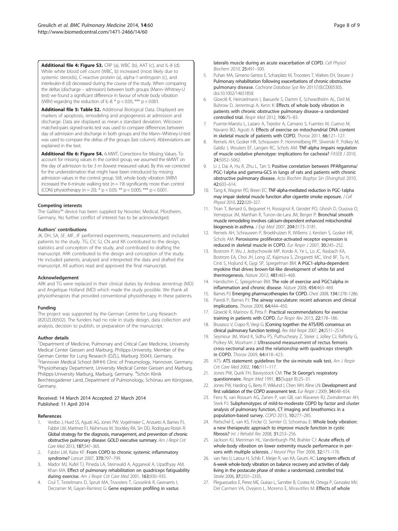<span id="page-7-0"></span>[Additional file 4: Figure S3.](http://www.biomedcentral.com/content/supplementary/1471-2466-14-60-S4.tiff) CRP (a), WBC (b), AAT (c), and IL-8 (d). While white blood cell count (WBC, b) increased (most likely due to systemic steroids), C-reactive protein (a), alpha-1-antitrypsin (c), and interleukin-8 (d) decreased during the course of the study. When comparing the deltas (discharge – admission) between both groups (Mann–Whitney-U test) we found a significant difference in favour of whole body vibration (WBV) regarding the reduction of IL-8. \*  $p < 0.05$ ; \*\*\*  $p < 0.001$ .

[Additional file 5: Table S2.](http://www.biomedcentral.com/content/supplementary/1471-2466-14-60-S5.tiff) Additional Biological Data. Displayed are markers of apoptosis, remodeling and angiogenesis at admission and discharge. Data are displayed as mean ± standard deviation. Wilcoxon matched-pairs signed-ranks test was used to compare differences between day of admission and discharge in both groups and the Mann–Whitney-U-test was used to compare the deltas of the groups (last column). Abbreviations are explained in the text.

[Additional file 6: Figure S4.](http://www.biomedcentral.com/content/supplementary/1471-2466-14-60-S6.tiff) 6-MWT, Corrections for Missing Values. To account for missing values in the control group, we assumed the 6MWT on the day of admission to be 3 m (lowest measured value). By this we corrected for the underestimation that might have been introduced by missing admission values in the control group. Still, whole body vibration (WBV) increased the 6-minute walking test ( $n = 19$ ) significantly more than control (CON) physiotherapy (n = 20).  $\frac{x}{n}$  p < 0.05; \*\* p < 0.005; \*\*\* p < 0.001.

#### Competing interests

The Galileo™ device has been supplied by Novotec Medical, Pforzheim, Germany. No further conflict of interest has to be acknowledged.

#### Authors' contributions

JK, DH, SA, SF, MF, JF performed experiments, measurements and included patients to the study. TG, CV, SJ, CN and KK contributed to the design, statistics and conception of the study, and contributed to drafting the manuscript. ARK contributed to the design and conception of the study. He included patients, analysed and interpreted the data and drafted the manuscript. All authors read and approved the final manuscript.

#### Acknowledgement

ARK and TG were replaced in their clinical duties by Andreas Jerrentrup (MD) and Angelique Holland (MD) which made the study possible. We thank all physiotherapists that provided conventional physiotherapy in these patients.

#### Funding

The project was supported by the German Centre for Lung Research (82DZL00502). The funders had no role in study design, data collection and analysis, decision to publish, or preparation of the manuscript.

#### Author details

<sup>1</sup>Department of Medicine, Pulmonary and Critical Care Medicine, University Medical Center Giessen and Marburg, Philipps-University, Member of the German Center for Lung Research (DZL), Marburg 35043, Germany. <sup>2</sup> Hannover Medical School (MHH) Clinic of Pneumology, Hannover, Germany. <sup>3</sup> Physiotherapy Department, University Medical Center Giessen and Marburg, Philipps-University Marburg, Marburg, Germany. <sup>4</sup>Schön Klinik Berchtesgadener Land, Department of Pulmonology, Schönau am Königssee, Germany.

#### Received: 14 March 2014 Accepted: 27 March 2014 Published: 11 April 2014

#### References

- 1. Vestbo J, Hurd SS, Agusti AG, Jones PW, Vogelmeier C, Anzueto A, Barnes PJ, Fabbri LM, Martinez FJ, Nishimura M, Stockley RA, Sin DD, Rodriguez-Roisin R: Global strategy for the diagnosis, management, and prevention of chronic obstructive pulmonary disease: GOLD executive summary. Am J Respir Crit Care Med 2013, 187:347–365.
- 2. Fabbri LM, Rabe KF: From COPD to chronic systemic inflammatory syndrome? Lancet 2007, 370:797–799.
- 3. Mador MJ, Kufel TJ, Pineda LA, Steinwald A, Aggarwal A, Upadhyay AM, Khan MA: Effect of pulmonary rehabilitation on quadriceps fatiguability during exercise. Am J Respir Crit Care Med 2001, 163:930-935.
- 4. Crul T, Testelmans D, Spruit MA, Troosters T, Gosselink R, Geeraerts I, Decramer M, Gayan-Ramirez G: Gene expression profiling in vastus

lateralis muscle during an acute exacerbation of COPD. Cell Physiol Biochem 2010, 25:491–500.

- 5. Puhan MA, Gimeno-Santos E, Scharplatz M, Troosters T, Walters EH, Steurer J: Pulmonary rehabilitation following exacerbations of chronic obstructive pulmonary disease. Cochrane Database Syst Rev 2011(10):CD005305. doi:10.1002/14651858.
- 6. Gloeckl R, Heinzelmann I, Baeuerle S, Damm E, Schwedhelm AL, Diril M, Buhrow D, Jerrentrup A, Kenn K: Effects of whole body vibration in patients with chronic obstructive pulmonary disease–a randomized controlled trial. Respir Med 2012, 106:75–83.
- Puente-Maestu L, Lazaro A, Tejedor A, Camano S, Fuentes M, Cuervo M, Navarro BO, Agusti A: Effects of exercise on mitochondrial DNA content in skeletal muscle of patients with COPD. Thorax 2011, 66:121–127.
- 8. Remels AH, Gosker HR, Schrauwen P, Hommelberg PP, Sliwinski P, Polkey M, Galdiz J, Wouters EF, Langen RC, Schols AM: TNF-alpha impairs regulation of muscle oxidative phenotype: implications for cachexia? FASEB J 2010, 24:5052–5062.
- 9. Li J, Dai A, Hu R, Zhu L, Tan S: Positive correlation between PPARgamma/ PGC-1alpha and gamma-GCS in lungs of rats and patients with chronic obstructive pulmonary disease. Acta Biochim Biophys Sin (Shanghai) 2010, 42:603–614.
- 10. Tang K, Wagner PD, Breen EC: TNF-alpha-mediated reduction in PGC-1alpha may impair skeletal muscle function after cigarette smoke exposure. J Cell Physiol 2010, 222:320–327.
- 11. Trian T, Benard G, Begueret H, Rossignol R, Girodet PO, Ghosh D, Ousova O, Vernejoux JM, Marthan R, Tunon-de-Lara JM, Berger P: Bronchial smooth muscle remodeling involves calcium-dependent enhanced mitochondrial biogenesis in asthma. J Exp Med 2007, 204:3173–3181.
- 12. Remels AH, Schrauwen P, Broekhuizen R, Willems J, Kersten S, Gosker HR, Schols AM: Peroxisome proliferator-activated receptor expression is reduced in skeletal muscle in COPD. Eur Respir J 2007, 30:245–252.
- 13. Bostrom P, Wu J, Jedrychowski MP, Korde A, Ye L, Lo JC, Rasbach KA, Bostrom EA, Choi JH, Long JZ, Kajimura S, Zingaretti MC, Vind BF, Tu H, Cinti S, Hojlund K, Gygi SP, Spiegelman BM: A PGC1-alpha-dependent myokine that drives brown-fat-like development of white fat and thermogenesis. Nature 2012, 481:463–468.
- 14. Handschin C, Spiegelman BM: The role of exercise and PGC1alpha in inflammation and chronic disease. Nature 2008, 454:463–469.
- 15. Barnes PJ: Emerging pharmacotherapies for COPD. Chest 2008, 134:1278-1286.
- 16. Paredi P, Barnes PJ: The airway vasculature: recent advances and clinical implications. Thorax 2009, 64:444–450.
- 17. Gloeckl R, Marinov B, Pitta F: Practical recommendations for exercise training in patients with COPD. Eur Respir Rev 2013, 22:178–186.
- 18. Brusasco V, Crapo R, Viegi G: [Coming together: the ATS/ERS consensus on clinical pulmonary function testing]. Rev Mal Respir 2007, 24:2S11–2S14.
- 19. Seymour JM, Ward K, Sidhu PS, Puthucheary Z, Steier J, Jolley CJ, Rafferty G, Polkey MI, Moxham J: Ultrasound measurement of rectus femoris cross-sectional area and the relationship with quadriceps strength in COPD. Thorax 2009, 64:418–423.
- 20. ATS: ATS statement: guidelines for the six-minute walk test. Am J Respir Crit Care Med 2002, 166:111–117.
- 21. Jones PW, Quirk FH, Baveystock CM: The St George's respiratory questionnaire. Respir Med 1991, 85(Suppl B):25–31.
- 22. Jones PW, Harding G, Berry P, Wiklund I, Chen WH, Kline LN: Development and first validation of the COPD assessment test. Eur Respir J 2009, 34:648-654.
- 23. Fens N, van Rossum AG, Zanen P, van GB, van Klaveren RJ, Zwinderman AH, Sterk PJ: Subphenotypes of mild-to-moderate COPD by factor and cluster analysis of pulmonary function, CT imaging and breathomics in a population-based survey. COPD 2013, 10:277–285.
- 24. Rietschel E, van KS, Fricke O, Semler O, Schoenau E: Whole body vibration: a new therapeutic approach to improve muscle function in cystic fibrosis? Int J Rehabil Res 2008, 31:253–256.
- 25. Jackson KJ, Merriman HL, Vanderburgh PM, Brahler CJ: Acute effects of whole-body vibration on lower extremity muscle performance in persons with multiple sclerosis. J Neurol Phys Ther 2008, 32:171-176.
- 26. van Nes IJ, Latour H, Schils F, Meijer R, van KA, Geurts AC: Long-term effects of 6-week whole-body vibration on balance recovery and activities of daily living in the postacute phase of stroke: a randomized, controlled trial. Stroke 2006, 37:2331–2335.
- 27. Pleguezuelos E, Perez ME, Guirao L, Samitier B, Costea M, Ortega P, Gonzalez MV, Del Carmen VA, Ovejero L, Moreno E, Miravitlles M: Effects of whole